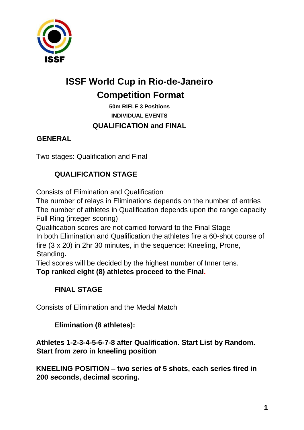

# **ISSF World Cup in Rio-de-Janeiro Competition Format**

**50m RIFLE 3 Positions INDIVIDUAL EVENTS QUALIFICATION and FINAL** 

#### **GENERAL**

Two stages: Qualification and Final

## **QUALIFICATION STAGE**

Consists of Elimination and Qualification

The number of relays in Eliminations depends on the number of entries The number of athletes in Qualification depends upon the range capacity Full Ring (integer scoring)

Qualification scores are not carried forward to the Final Stage In both Elimination and Qualification the athletes fire a 60-shot course of fire (3 x 20) in 2hr 30 minutes, in the sequence: Kneeling, Prone, Standing**.**

Tied scores will be decided by the highest number of Inner tens.

**Top ranked eight (8) athletes proceed to the Final.**

## **FINAL STAGE**

Consists of Elimination and the Medal Match

## **Elimination (8 athletes):**

**Athletes 1-2-3-4-5-6-7-8 after Qualification. Start List by Random. Start from zero in kneeling position**

**KNEELING POSITION – two series of 5 shots, each series fired in 200 seconds, decimal scoring.**